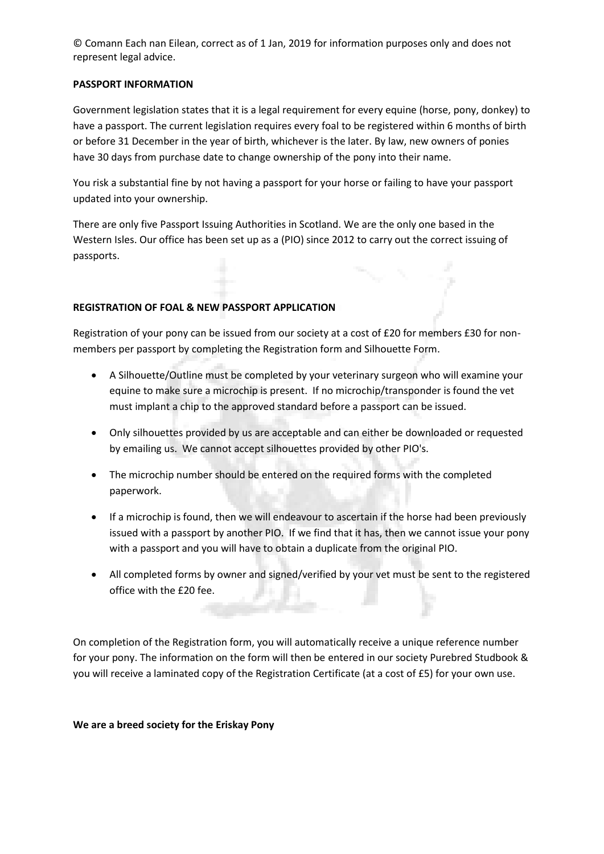© Comann Each nan Eilean, correct as of 1 Jan, 2019 for information purposes only and does not represent legal advice.

## **PASSPORT INFORMATION**

Government legislation states that it is a legal requirement for every equine (horse, pony, donkey) to have a passport. The current legislation requires every foal to be registered within 6 months of birth or before 31 December in the year of birth, whichever is the later. By law, new owners of ponies have 30 days from purchase date to change ownership of the pony into their name.

You risk a substantial fine by not having a passport for your horse or failing to have your passport updated into your ownership.

There are only five Passport Issuing Authorities in Scotland. We are the only one based in the Western Isles. Our office has been set up as a (PIO) since 2012 to carry out the correct issuing of passports.

## **REGISTRATION OF FOAL & NEW PASSPORT APPLICATION**

Registration of your pony can be issued from our society at a cost of £20 for members £30 for nonmembers per passport by completing the Registration form and Silhouette Form.

- A Silhouette/Outline must be completed by your veterinary surgeon who will examine your equine to make sure a microchip is present. If no microchip/transponder is found the vet must implant a chip to the approved standard before a passport can be issued.
- Only silhouettes provided by us are acceptable and can either be downloaded or requested by emailing us. We cannot accept silhouettes provided by other PIO's.
- The microchip number should be entered on the required forms with the completed paperwork.
- If a microchip is found, then we will endeavour to ascertain if the horse had been previously issued with a passport by another PIO. If we find that it has, then we cannot issue your pony with a passport and you will have to obtain a duplicate from the original PIO.
- All completed forms by owner and signed/verified by your vet must be sent to the registered office with the £20 fee. A 69

On completion of the Registration form, you will automatically receive a unique reference number for your pony. The information on the form will then be entered in our society Purebred Studbook & you will receive a laminated copy of the Registration Certificate (at a cost of £5) for your own use.

**We are a breed society for the Eriskay Pony**